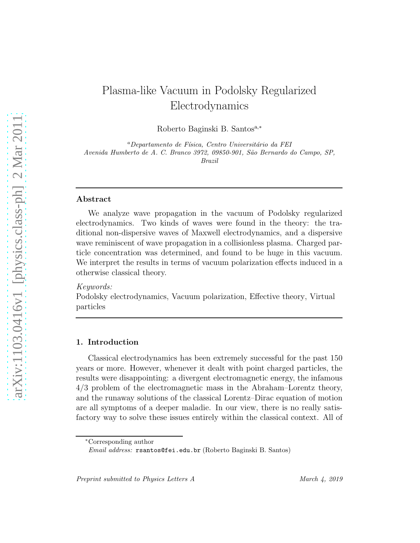# Plasma-like Vacuum in Podolsky Regularized Electrodynamics

Roberto Baginski B. Santos<sup>a,∗</sup>

<sup>a</sup>Departamento de Física, Centro Universitário da FEI *Avenida Humberto de A. C. Branco 3972, 09850-901, S˜ao Bernardo do Campo, SP, Brazil*

#### Abstract

We analyze wave propagation in the vacuum of Podolsky regularized electrodynamics. Two kinds of waves were found in the theory: the traditional non-dispersive waves of Maxwell electrodynamics, and a dispersive wave reminiscent of wave propagation in a collisionless plasma. Charged particle concentration was determined, and found to be huge in this vacuum. We interpret the results in terms of vacuum polarization effects induced in a otherwise classical theory.

#### Keywords:

Podolsky electrodynamics, Vacuum polarization, Effective theory, Virtual particles

#### 1. Introduction

Classical electrodynamics has been extremely successful for the past 150 years or more. However, whenever it dealt with point charged particles, the results were disappointing: a divergent electromagnetic energy, the infamous 4/3 problem of the electromagnetic mass in the Abraham–Lorentz theory, and the runaway solutions of the classical Lorentz–Dirac equation of motion are all symptoms of a deeper maladie. In our view, there is no really satisfactory way to solve these issues entirely within the classical context. All of

<sup>∗</sup>Corresponding author

*Email address:* rsantos@fei.edu.br (Roberto Baginski B. Santos)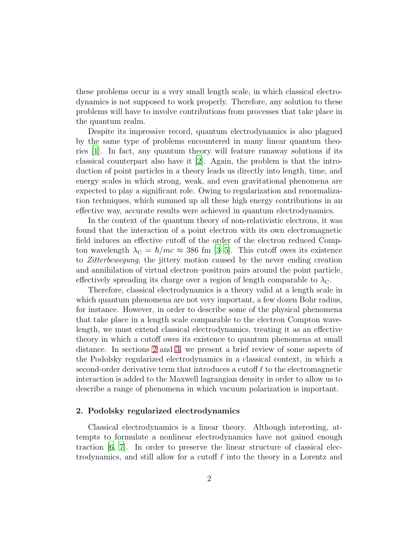these problems occur in a very small length scale, in which classical electrodynamics is not supposed to work properly. Therefore, any solution to these problems will have to involve contributions from processes that take place in the quantum realm.

Despite its impressive record, quantum electrodynamics is also plagued by the same type of problems encountered in many linear quantum theories [\[1\]](#page-7-0). In fact, any quantum theory will feature runaway solutions if its classical counterpart also have it [\[2\]](#page-7-1). Again, the problem is that the introduction of point particles in a theory leads us directly into length, time, and energy scales in which strong, weak, and even gravitational phenomena are expected to play a significant role. Owing to regularization and renormalization techniques, which summed up all these high energy contributions in an effective way, accurate results were achieved in quantum electrodynamics.

In the context of the quantum theory of non-relativistic electrons, it was found that the interaction of a point electron with its own electromagnetic field induces an effective cutoff of the order of the electron reduced Compton wavelength  $\lambda_C = \hbar/mc \approx 386$  fm [\[3](#page-7-2)[–5\]](#page-7-3). This cutoff owes its existence to Zitterbewegung, the jittery motion caused by the never ending creation and annihilation of virtual electron–positron pairs around the point particle, effectively spreading its charge over a region of length comparable to  $\lambda_{\rm C}$ .

Therefore, classical electrodynamics is a theory valid at a length scale in which quantum phenomena are not very important, a few dozen Bohr radius, for instance. However, in order to describe some of the physical phenomena that take place in a length scale comparable to the electron Compton wavelength, we must extend classical electrodynamics, treating it as an effective theory in which a cutoff owes its existence to quantum phenomena at small distance. In sections [2](#page-1-0) and [3,](#page-3-0) we present a brief review of some aspects of the Podolsky regularized electrodynamics in a classical context, in which a second-order derivative term that introduces a cutoff  $\ell$  to the electromagnetic interaction is added to the Maxwell lagrangian density in order to allow us to describe a range of phenomena in which vacuum polarization is important.

### <span id="page-1-0"></span>2. Podolsky regularized electrodynamics

Classical electrodynamics is a linear theory. Although interesting, attempts to formulate a nonlinear electrodynamics have not gained enough traction [\[6,](#page-7-4) [7](#page-7-5)]. In order to preserve the linear structure of classical electrodynamics, and still allow for a cutoff  $\ell$  into the theory in a Lorentz and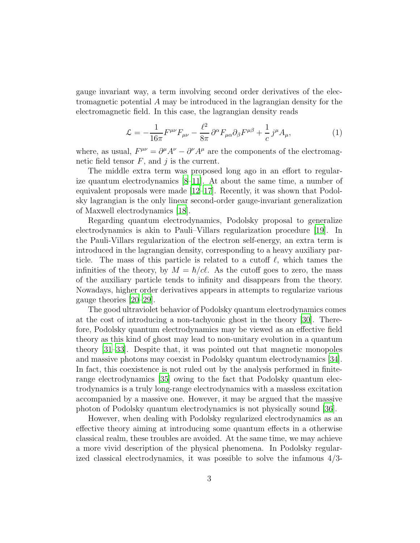gauge invariant way, a term involving second order derivatives of the electromagnetic potential A may be introduced in the lagrangian density for the electromagnetic field. In this case, the lagrangian density reads

$$
\mathcal{L} = -\frac{1}{16\pi} F^{\mu\nu} F_{\mu\nu} - \frac{\ell^2}{8\pi} \partial^{\alpha} F_{\mu\alpha} \partial_{\beta} F^{\mu\beta} + \frac{1}{c} j^{\mu} A_{\mu}, \tag{1}
$$

where, as usual,  $F^{\mu\nu} = \partial^{\mu}A^{\nu} - \partial^{\nu}A^{\mu}$  are the components of the electromagnetic field tensor  $F$ , and  $j$  is the current.

The middle extra term was proposed long ago in an effort to regularize quantum electrodynamics [\[8](#page-7-6)[–11\]](#page-7-7). At about the same time, a number of equivalent proposals were made [\[12](#page-7-8)[–17\]](#page-7-9). Recently, it was shown that Podolsky lagrangian is the only linear second-order gauge-invariant generalization of Maxwell electrodynamics [\[18\]](#page-7-10).

Regarding quantum electrodynamics, Podolsky proposal to generalize electrodynamics is akin to Pauli–Villars regularization procedure [\[19](#page-7-11)]. In the Pauli-Villars regularization of the electron self-energy, an extra term is introduced in the lagrangian density, corresponding to a heavy auxiliary particle. The mass of this particle is related to a cutoff  $\ell$ , which tames the infinities of the theory, by  $M = \hbar/c\ell$ . As the cutoff goes to zero, the mass of the auxiliary particle tends to infinity and disappears from the theory. Nowadays, higher order derivatives appears in attempts to regularize various gauge theories [\[20](#page-7-12)[–29](#page-8-0)].

The good ultraviolet behavior of Podolsky quantum electrodynamics comes at the cost of introducing a non-tachyonic ghost in the theory [\[30](#page-8-1)]. Therefore, Podolsky quantum electrodynamics may be viewed as an effective field theory as this kind of ghost may lead to non-unitary evolution in a quantum theory [\[31](#page-8-2)[–33\]](#page-8-3). Despite that, it was pointed out that magnetic monopoles and massive photons may coexist in Podolsky quantum electrodynamics [\[34\]](#page-8-4). In fact, this coexistence is not ruled out by the analysis performed in finiterange electrodynamics [\[35\]](#page-8-5) owing to the fact that Podolsky quantum electrodynamics is a truly long-range electrodynamics with a massless excitation accompanied by a massive one. However, it may be argued that the massive photon of Podolsky quantum electrodynamics is not physically sound [\[36](#page-8-6)].

However, when dealing with Podolsky regularized electrodynamics as an effective theory aiming at introducing some quantum effects in a otherwise classical realm, these troubles are avoided. At the same time, we may achieve a more vivid description of the physical phenomena. In Podolsky regularized classical electrodynamics, it was possible to solve the infamous  $4/3$ -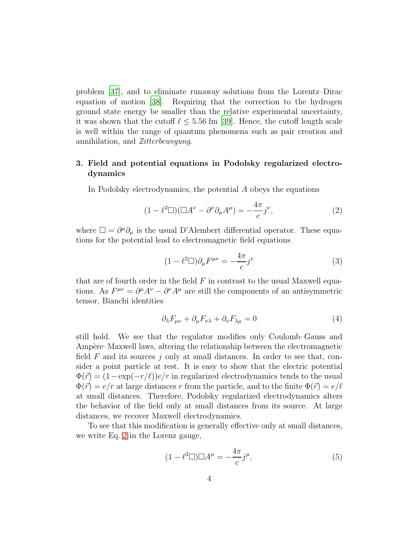problem [\[37\]](#page-8-7), and to eliminate runaway solutions from the Lorentz–Dirac equation of motion [\[38](#page-8-8)]. Requiring that the correction to the hydrogen ground state energy be smaller than the relative experimental uncertainty, it was shown that the cutoff  $\ell \leq 5.56$  fm [\[39\]](#page-8-9). Hence, the cutoff length scale is well within the range of quantum phenomena such as pair creation and annihilation, and Zitterbewegung.

# <span id="page-3-0"></span>3. Field and potential equations in Podolsky regularized electrodynamics

In Podolsky electrodynamics, the potential A obeys the equations

<span id="page-3-1"></span>
$$
(1 - \ell^2 \Box)(\Box A^{\nu} - \partial^{\nu} \partial_{\mu} A^{\mu}) = -\frac{4\pi}{c} j^{\nu}, \qquad (2)
$$

where  $\Box = \partial^{\mu} \partial_{\mu}$  is the usual D'Alembert differential operator. These equations for the potential lead to electromagnetic field equations

$$
(1 - \ell^2 \Box) \partial_{\mu} F^{\mu \nu} = -\frac{4\pi}{c} j^{\nu} \tag{3}
$$

that are of fourth order in the field  $F$  in contrast to the usual Maxwell equations. As  $F^{\mu\nu} = \partial^{\mu}A^{\nu} - \partial^{\nu}A^{\mu}$  are still the components of an antisymmetric tensor, Bianchi identities

$$
\partial_{\lambda} F_{\mu\nu} + \partial_{\mu} F_{\nu\lambda} + \partial_{\nu} F_{\lambda\mu} = 0 \tag{4}
$$

still hold. We see that the regulator modifies only Coulomb–Gauss and Ampère–Maxwell laws, altering the relationship between the electromagnetic field F and its sources j only at small distances. In order to see that, consider a point particle at rest. It is easy to show that the electric potential  $\Phi(\vec{r}) = (1 - \exp(-r/\ell))e/r$  in regularized electrodynamics tends to the usual  $\Phi(\vec{r}) = e/r$  at large distances r from the particle, and to the finite  $\Phi(\vec{r}) = e/\ell$ at small distances. Therefore, Podolsky regularized electrodynamics alters the behavior of the field only at small distances from its source. At large distances, we recover Maxwell electrodynamics.

To see that this modification is generally effective only at small distances, we write Eq. [2](#page-3-1) in the Lorenz gauge,

$$
(1 - \ell^2 \square) \square A^{\mu} = -\frac{4\pi}{c} j^{\mu},\tag{5}
$$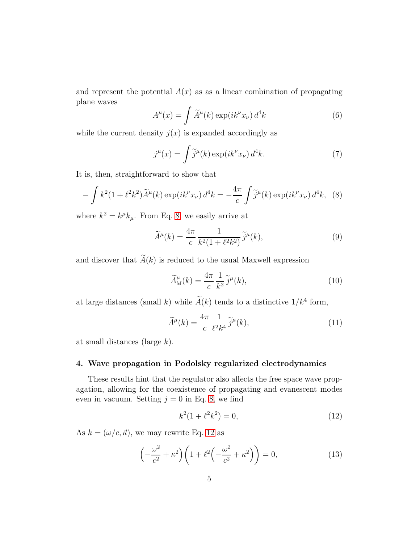and represent the potential  $A(x)$  as as a linear combination of propagating plane waves

$$
A^{\mu}(x) = \int \widetilde{A}^{\mu}(k) \exp(ik^{\nu}x_{\nu}) d^{4}k
$$
 (6)

while the current density  $j(x)$  is expanded accordingly as

$$
j^{\mu}(x) = \int \tilde{j}^{\mu}(k) \exp(ik^{\nu}x_{\nu}) d^{4}k.
$$
 (7)

It is, then, straightforward to show that

<span id="page-4-0"></span>
$$
-\int k^2(1+\ell^2k^2)\widetilde{A}^{\mu}(k)\exp(ik^{\nu}x_{\nu})d^4k = -\frac{4\pi}{c}\int \widetilde{j}^{\mu}(k)\exp(ik^{\nu}x_{\nu})d^4k, \tag{8}
$$

where  $k^2 = k^{\mu}k_{\mu}$ . From Eq. [8,](#page-4-0) we easily arrive at

$$
\widetilde{A}^{\mu}(k) = \frac{4\pi}{c} \frac{1}{k^2(1 + \ell^2 k^2)} \widetilde{j}^{\mu}(k),\tag{9}
$$

and discover that  $\widetilde{A}(k)$  is reduced to the usual Maxwell expression

$$
\widetilde{A}_{\mathcal{M}}^{\mu}(k) = \frac{4\pi}{c} \frac{1}{k^2} \widetilde{j}^{\mu}(k),\tag{10}
$$

at large distances (small k) while  $\tilde{A}(k)$  tends to a distinctive  $1/k^4$  form,

$$
\widetilde{A}^{\mu}(k) = \frac{4\pi}{c} \frac{1}{\ell^2 k^4} \widetilde{j}^{\mu}(k),\tag{11}
$$

at small distances (large k).

### 4. Wave propagation in Podolsky regularized electrodynamics

These results hint that the regulator also affects the free space wave propagation, allowing for the coexistence of propagating and evanescent modes even in vacuum. Setting  $j = 0$  in Eq. [8,](#page-4-0) we find

<span id="page-4-1"></span>
$$
k^2(1 + \ell^2 k^2) = 0,\t\t(12)
$$

As  $k = (\omega/c, \vec{\kappa})$ , we may rewrite Eq. [12](#page-4-1) as

$$
\left(-\frac{\omega^2}{c^2} + \kappa^2\right)\left(1 + \ell^2\left(-\frac{\omega^2}{c^2} + \kappa^2\right)\right) = 0,\tag{13}
$$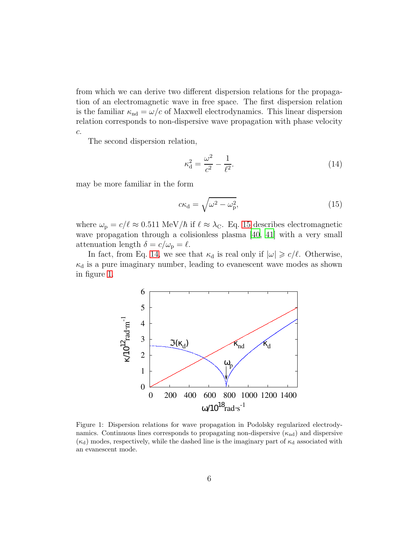from which we can derive two different dispersion relations for the propagation of an electromagnetic wave in free space. The first dispersion relation is the familiar  $\kappa_{\rm nd} = \omega/c$  of Maxwell electrodynamics. This linear dispersion relation corresponds to non-dispersive wave propagation with phase velocity  $c$ .

The second dispersion relation,

<span id="page-5-1"></span>
$$
\kappa_{\rm d}^2 = \frac{\omega^2}{c^2} - \frac{1}{\ell^2}.\tag{14}
$$

may be more familiar in the form

<span id="page-5-0"></span>
$$
c\kappa_{\rm d} = \sqrt{\omega^2 - \omega_{\rm p}^2},\tag{15}
$$

where  $\omega_{\rm p} = c/l \approx 0.511 \text{ MeV}/\hbar$  if  $\ell \approx \lambda_{\rm C}$ . Eq. [15](#page-5-0) describes electromagnetic wave propagation through a colisionless plasma [\[40](#page-8-10), [41\]](#page-9-0) with a very small attenuation length  $\delta = c/\omega_{\rm p} = \ell$ .

In fact, from Eq. [14,](#page-5-1) we see that  $\kappa_d$  is real only if  $|\omega| \geq c/\ell$ . Otherwise,  $\kappa_d$  is a pure imaginary number, leading to evanescent wave modes as shown in figure [1.](#page-5-2)



<span id="page-5-2"></span>Figure 1: Dispersion relations for wave propagation in Podolsky regularized electrodynamics. Continuous lines corresponds to propagating non-dispersive  $(\kappa_{nd})$  and dispersive  $(\kappa_d)$  modes, respectively, while the dashed line is the imaginary part of  $\kappa_d$  associated with an evanescent mode.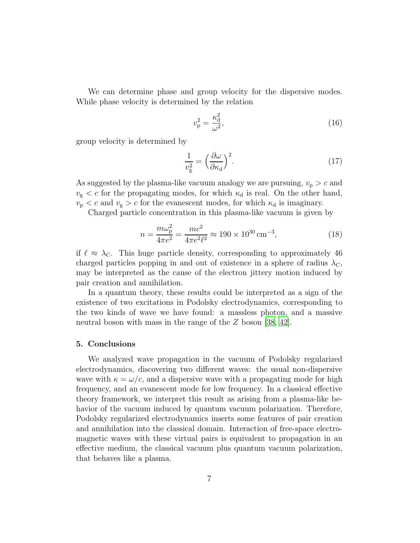We can determine phase and group velocity for the dispersive modes. While phase velocity is determined by the relation

$$
v_{\rm p}^2 = \frac{\kappa_{\rm d}^2}{\omega^2},\tag{16}
$$

group velocity is determined by

$$
\frac{1}{v_g^2} = \left(\frac{\partial \omega}{\partial \kappa_d}\right)^2.
$$
\n(17)

As suggested by the plasma-like vacuum analogy we are pursuing,  $v_{\rm p} > c$  and  $v_{\rm g} < c$  for the propagating modes, for which  $\kappa_{\rm d}$  is real. On the other hand,  $v_{\rm p} < c$  and  $v_{\rm g} > c$  for the evanescent modes, for which  $\kappa_{\rm d}$  is imaginary.

Charged particle concentration in this plasma-like vacuum is given by

$$
n = \frac{m\omega_{\rm p}^2}{4\pi e^2} = \frac{mc^2}{4\pi e^2 \ell^2} \approx 190 \times 10^{30} \,\text{cm}^{-3},\tag{18}
$$

if  $\ell \approx \lambda_C$ . This huge particle density, corresponding to approximately 46 charged particles popping in and out of existence in a sphere of radius  $\lambda_{\rm C}$ , may be interpreted as the cause of the electron jittery motion induced by pair creation and annihilation.

In a quantum theory, these results could be interpreted as a sign of the existence of two excitations in Podolsky electrodynamics, corresponding to the two kinds of wave we have found: a massless photon, and a massive neutral boson with mass in the range of the Z boson [\[38,](#page-8-8) [42\]](#page-9-1).

### 5. Conclusions

We analyzed wave propagation in the vacuum of Podolsky regularized electrodynamics, discovering two different waves: the usual non-dispersive wave with  $\kappa = \omega/c$ , and a dispersive wave with a propagating mode for high frequency, and an evanescent mode for low frequency. In a classical effective theory framework, we interpret this result as arising from a plasma-like behavior of the vacuum induced by quantum vacuum polarization. Therefore, Podolsky regularized electrodynamics inserts some features of pair creation and annihilation into the classical domain. Interaction of free-space electromagnetic waves with these virtual pairs is equivalent to propagation in an effective medium, the classical vacuum plus quantum vacuum polarization, that behaves like a plasma.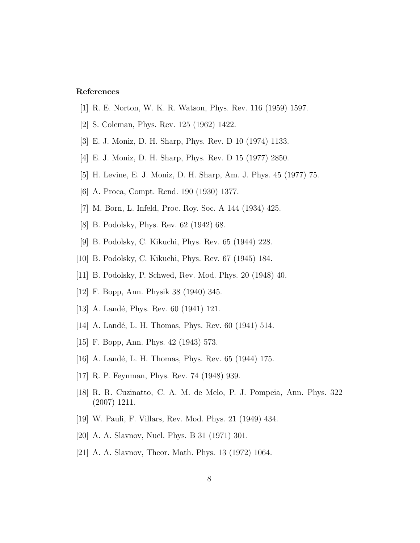## References

- <span id="page-7-0"></span>[1] R. E. Norton, W. K. R. Watson, Phys. Rev. 116 (1959) 1597.
- <span id="page-7-1"></span>[2] S. Coleman, Phys. Rev. 125 (1962) 1422.
- <span id="page-7-2"></span>[3] E. J. Moniz, D. H. Sharp, Phys. Rev. D 10 (1974) 1133.
- [4] E. J. Moniz, D. H. Sharp, Phys. Rev. D 15 (1977) 2850.
- <span id="page-7-3"></span>[5] H. Levine, E. J. Moniz, D. H. Sharp, Am. J. Phys. 45 (1977) 75.
- <span id="page-7-4"></span>[6] A. Proca, Compt. Rend. 190 (1930) 1377.
- <span id="page-7-5"></span>[7] M. Born, L. Infeld, Proc. Roy. Soc. A 144 (1934) 425.
- <span id="page-7-6"></span>[8] B. Podolsky, Phys. Rev. 62 (1942) 68.
- [9] B. Podolsky, C. Kikuchi, Phys. Rev. 65 (1944) 228.
- [10] B. Podolsky, C. Kikuchi, Phys. Rev. 67 (1945) 184.
- <span id="page-7-7"></span>[11] B. Podolsky, P. Schwed, Rev. Mod. Phys. 20 (1948) 40.
- <span id="page-7-8"></span>[12] F. Bopp, Ann. Physik 38 (1940) 345.
- [13] A. Landé, Phys. Rev. 60 (1941) 121.
- [14] A. Landé, L. H. Thomas, Phys. Rev. 60 (1941) 514.
- [15] F. Bopp, Ann. Phys. 42 (1943) 573.
- [16] A. Landé, L. H. Thomas, Phys. Rev. 65 (1944) 175.
- <span id="page-7-9"></span>[17] R. P. Feynman, Phys. Rev. 74 (1948) 939.
- <span id="page-7-10"></span>[18] R. R. Cuzinatto, C. A. M. de Melo, P. J. Pompeia, Ann. Phys. 322 (2007) 1211.
- <span id="page-7-11"></span>[19] W. Pauli, F. Villars, Rev. Mod. Phys. 21 (1949) 434.
- <span id="page-7-12"></span>[20] A. A. Slavnov, Nucl. Phys. B 31 (1971) 301.
- [21] A. A. Slavnov, Theor. Math. Phys. 13 (1972) 1064.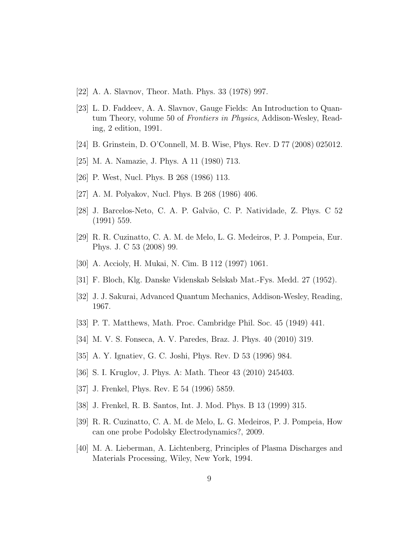- [22] A. A. Slavnov, Theor. Math. Phys. 33 (1978) 997.
- [23] L. D. Faddeev, A. A. Slavnov, Gauge Fields: An Introduction to Quantum Theory, volume 50 of Frontiers in Physics, Addison-Wesley, Reading, 2 edition, 1991.
- [24] B. Grinstein, D. O'Connell, M. B. Wise, Phys. Rev. D 77 (2008) 025012.
- [25] M. A. Namazie, J. Phys. A 11 (1980) 713.
- [26] P. West, Nucl. Phys. B 268 (1986) 113.
- [27] A. M. Polyakov, Nucl. Phys. B 268 (1986) 406.
- [28] J. Barcelos-Neto, C. A. P. Galvão, C. P. Natividade, Z. Phys. C 52 (1991) 559.
- <span id="page-8-0"></span>[29] R. R. Cuzinatto, C. A. M. de Melo, L. G. Medeiros, P. J. Pompeia, Eur. Phys. J. C 53 (2008) 99.
- <span id="page-8-1"></span>[30] A. Accioly, H. Mukai, N. Cim. B 112 (1997) 1061.
- <span id="page-8-2"></span>[31] F. Bloch, Klg. Danske Videnskab Selskab Mat.-Fys. Medd. 27 (1952).
- [32] J. J. Sakurai, Advanced Quantum Mechanics, Addison-Wesley, Reading, 1967.
- <span id="page-8-3"></span>[33] P. T. Matthews, Math. Proc. Cambridge Phil. Soc. 45 (1949) 441.
- <span id="page-8-4"></span>[34] M. V. S. Fonseca, A. V. Paredes, Braz. J. Phys. 40 (2010) 319.
- <span id="page-8-5"></span>[35] A. Y. Ignatiev, G. C. Joshi, Phys. Rev. D 53 (1996) 984.
- <span id="page-8-6"></span>[36] S. I. Kruglov, J. Phys. A: Math. Theor 43 (2010) 245403.
- <span id="page-8-7"></span>[37] J. Frenkel, Phys. Rev. E 54 (1996) 5859.
- <span id="page-8-8"></span>[38] J. Frenkel, R. B. Santos, Int. J. Mod. Phys. B 13 (1999) 315.
- <span id="page-8-9"></span>[39] R. R. Cuzinatto, C. A. M. de Melo, L. G. Medeiros, P. J. Pompeia, How can one probe Podolsky Electrodynamics?, 2009.
- <span id="page-8-10"></span>[40] M. A. Lieberman, A. Lichtenberg, Principles of Plasma Discharges and Materials Processing, Wiley, New York, 1994.